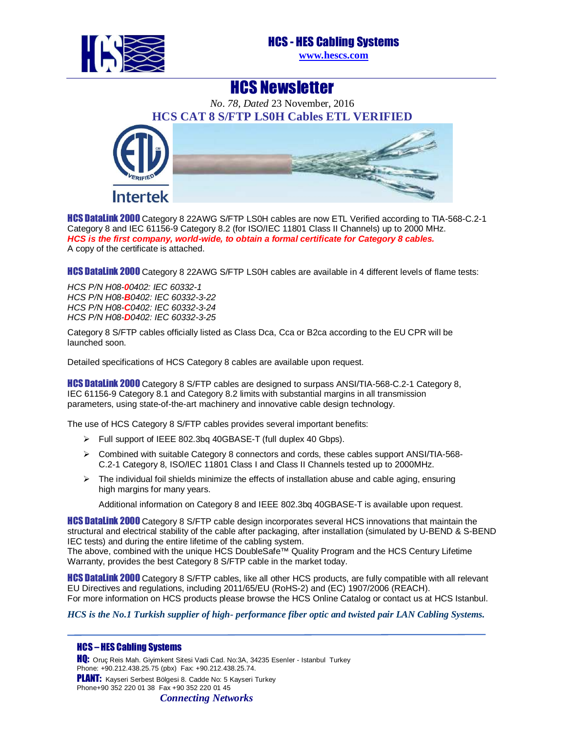

HCS Newsletter

*No. 78, Dated* 23 November, 2016 **HCS CAT 8 S/FTP LS0H Cables ETL VERIFIED Intertek** 

HCS DataLink 2000 Category 8 22AWG S/FTP LS0H cables are now ETL Verified according to TIA-568-C.2-1 Category 8 and IEC 61156-9 Category 8.2 (for ISO/IEC 11801 Class II Channels) up to 2000 MHz. **HCS is the first company, world-wide, to obtain a formal certificate for Category 8 cables.**  A copy of the certificate is attached.

**HCS DataLink 2000** Category 8 22AWG S/FTP LS0H cables are available in 4 different levels of flame tests:

HCS P/N H08-**0**0402: IEC 60332-1 HCS P/N H08-**B**0402: IEC 60332-3-22 HCS P/N H08-**C**0402: IEC 60332-3-24 HCS P/N H08-**D**0402: IEC 60332-3-25

Category 8 S/FTP cables officially listed as Class Dca, Cca or B2ca according to the EU CPR will be launched soon.

Detailed specifications of HCS Category 8 cables are available upon request.

**HCS DataLink 2000** Category 8 S/FTP cables are designed to surpass ANSI/TIA-568-C.2-1 Category 8, IEC 61156-9 Category 8.1 and Category 8.2 limits with substantial margins in all transmission parameters, using state-of-the-art machinery and innovative cable design technology.

The use of HCS Category 8 S/FTP cables provides several important benefits:

- Full support of IEEE 802.3bq 40GBASE-T (full duplex 40 Gbps).
- $\triangleright$  Combined with suitable Category 8 connectors and cords, these cables support ANSI/TIA-568-C.2-1 Category 8, ISO/IEC 11801 Class I and Class II Channels tested up to 2000MHz.
- $\triangleright$  The individual foil shields minimize the effects of installation abuse and cable aging, ensuring high margins for many years.

Additional information on Category 8 and IEEE 802.3bq 40GBASE-T is available upon request.

**HCS DataLink 2000** Category 8 S/FTP cable design incorporates several HCS innovations that maintain the structural and electrical stability of the cable after packaging, after installation (simulated by U-BEND & S-BEND IEC tests) and during the entire lifetime of the cabling system.

The above, combined with the unique HCS DoubleSafe™ Quality Program and the HCS Century Lifetime Warranty, provides the best Category 8 S/FTP cable in the market today.

**HCS DataLink 2000** Category 8 S/FTP cables, like all other HCS products, are fully compatible with all relevant EU Directives and regulations, including 2011/65/EU (RoHS-2) and (EC) 1907/2006 (REACH). For more information on HCS products please browse the HCS Online Catalog or contact us at HCS Istanbul.

*HCS is the No.1 Turkish supplier of high- performance fiber optic and twisted pair LAN Cabling Systems.* 

## HCS – HES Cabling Systems

HQ: Oruç Reis Mah. Giyimkent Sitesi Vadi Cad. No:3A, 34235 Esenler - Istanbul Turkey Phone: +90.212.438.25.75 (pbx) Fax: +90.212.438.25.74. PLANT: Kayseri Serbest Bölgesi 8. Cadde No: 5 Kayseri Turkey Phone+90 352 220 01 38 Fax +90 352 220 01 45

*Connecting Networks*